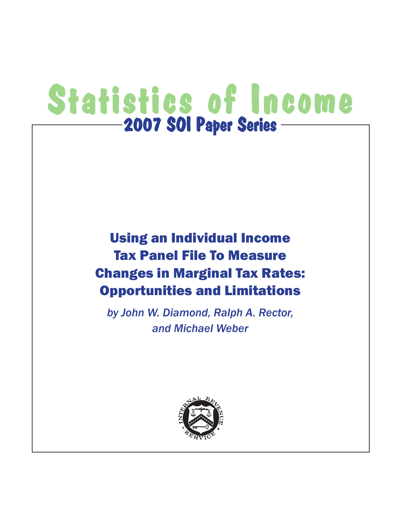# Statistics of Income  $-$ 2007 SOI Paper Series  $-$

# Using an Individual Income Tax Panel File To Measure Changes in Marginal Tax Rates: Opportunities and Limitations

*by John W. Diamond, Ralph A. Rector, and Michael Weber*

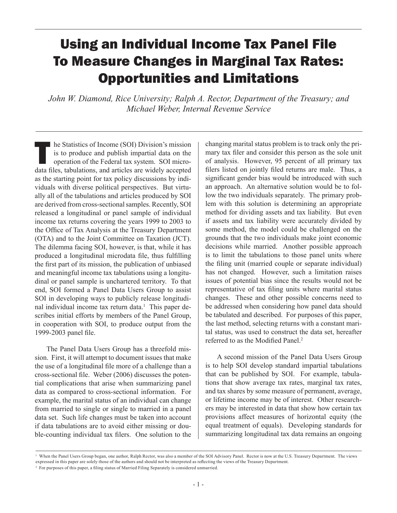# Using an Individual Income Tax Panel File To Measure Changes in Marginal Tax Rates: Opportunities and Limitations

*John W. Diamond, Rice University; Ralph A. Rector, Department of the Treasury; and Michael Weber, Internal Revenue Service*

The Statistics of Income (SOI) Division's mission<br>is to produce and publish impartial data on the<br>operation of the Federal tax system. SOI micro-<br>data files tabulations and articles are widely accounted is to produce and publish impartial data on the operation of the Federal tax system. SOI microdata files, tabulations, and articles are widely accepted as the starting point for tax policy discussions by individuals with diverse political perspectives. But virtually all of the tabulations and articles produced by SOI are derived from cross-sectional samples. Recently, SOI released a longitudinal or panel sample of individual income tax returns covering the years 1999 to 2003 to the Office of Tax Analysis at the Treasury Department (OTA) and to the Joint Committee on Taxation (JCT). The dilemma facing SOI, however, is that, while it has produced a longitudinal microdata file, thus fulfilling the first part of its mission, the publication of unbiased and meaningful income tax tabulations using a longitudinal or panel sample is unchartered territory. To that end, SOI formed a Panel Data Users Group to assist SOI in developing ways to publicly release longitudinal individual income tax return data.<sup>1</sup> This paper describes initial efforts by members of the Panel Group, in cooperation with SOI, to produce output from the 1999-2003 panel file.

The Panel Data Users Group has a threefold mission. First, it will attempt to document issues that make the use of a longitudinal file more of a challenge than a cross-sectional file. Weber (2006) discusses the potential complications that arise when summarizing panel data as compared to cross-sectional information. For example, the marital status of an individual can change from married to single or single to married in a panel data set. Such life changes must be taken into account if data tabulations are to avoid either missing or double-counting individual tax filers. One solution to the

changing marital status problem is to track only the primary tax filer and consider this person as the sole unit of analysis. However, 95 percent of all primary tax filers listed on jointly filed returns are male. Thus, a significant gender bias would be introduced with such an approach. An alternative solution would be to follow the two individuals separately. The primary problem with this solution is determining an appropriate method for dividing assets and tax liability. But even if assets and tax liability were accurately divided by some method, the model could be challenged on the grounds that the two individuals make joint economic decisions while married. Another possible approach is to limit the tabulations to those panel units where the filing unit (married couple or separate individual) has not changed. However, such a limitation raises issues of potential bias since the results would not be representative of tax filing units where marital status changes. These and other possible concerns need to be addressed when considering how panel data should be tabulated and described. For purposes of this paper, the last method, selecting returns with a constant marital status, was used to construct the data set, hereafter referred to as the Modified Panel.<sup>2</sup>

A second mission of the Panel Data Users Group is to help SOI develop standard impartial tabulations that can be published by SOI. For example, tabulations that show average tax rates, marginal tax rates, and tax shares by some measure of permanent, average, or lifetime income may be of interest. Other researchers may be interested in data that show how certain tax provisions affect measures of horizontal equity (the equal treatment of equals). Developing standards for summarizing longitudinal tax data remains an ongoing

<sup>1</sup> When the Panel Users Group began, one author, Ralph Rector, was also a member of the SOI Advisory Panel. Rector is now at the U.S. Treasury Department. The views expressed in this paper are solely those of the authors and should not be interpreted as reflecting the views of the Treasury Department.

<sup>&</sup>lt;sup>2</sup> For purposes of this paper, a filing status of Married Filing Separately is considered unmarried.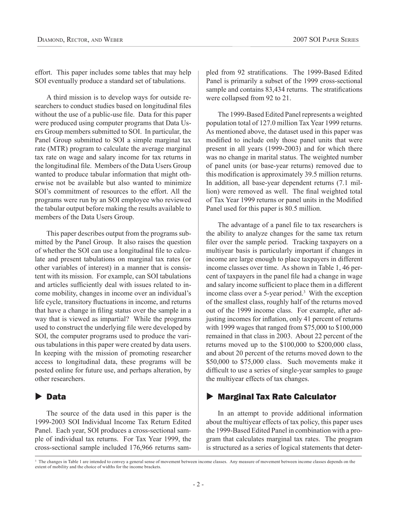effort. This paper includes some tables that may help SOI eventually produce a standard set of tabulations.

A third mission is to develop ways for outside researchers to conduct studies based on longitudinal files without the use of a public-use file. Data for this paper were produced using computer programs that Data Users Group members submitted to SOI. In particular, the Panel Group submitted to SOI a simple marginal tax rate (MTR) program to calculate the average marginal tax rate on wage and salary income for tax returns in the longitudinal file. Members of the Data Users Group wanted to produce tabular information that might otherwise not be available but also wanted to minimize SOI's commitment of resources to the effort. All the programs were run by an SOI employee who reviewed the tabular output before making the results available to members of the Data Users Group.

This paper describes output from the programs submitted by the Panel Group. It also raises the question of whether the SOI can use a longitudinal file to calculate and present tabulations on marginal tax rates (or other variables of interest) in a manner that is consistent with its mission. For example, can SOI tabulations and articles sufficiently deal with issues related to income mobility, changes in income over an individual's life cycle, transitory fluctuations in income, and returns that have a change in filing status over the sample in a way that is viewed as impartial? While the programs used to construct the underlying file were developed by SOI, the computer programs used to produce the various tabulations in this paper were created by data users. In keeping with the mission of promoting researcher access to longitudinal data, these programs will be posted online for future use, and perhaps alteration, by other researchers.

# $\blacktriangleright$  Data

The source of the data used in this paper is the 1999-2003 SOI Individual Income Tax Return Edited Panel. Each year, SOI produces a cross-sectional sample of individual tax returns. For Tax Year 1999, the cross-sectional sample included 176,966 returns sampled from 92 stratifications. The 1999-Based Edited Panel is primarily a subset of the 1999 cross-sectional sample and contains 83,434 returns. The stratifications were collapsed from 92 to 21.

The 1999-Based Edited Panel represents a weighted population total of 127.0 million Tax Year 1999 returns. As mentioned above, the dataset used in this paper was modified to include only those panel units that were present in all years (1999-2003) and for which there was no change in marital status. The weighted number of panel units (or base-year returns) removed due to this modification is approximately 39.5 million returns. In addition, all base-year dependent returns (7.1 million) were removed as well. The final weighted total of Tax Year 1999 returns or panel units in the Modified Panel used for this paper is 80.5 million.

The advantage of a panel file to tax researchers is the ability to analyze changes for the same tax return filer over the sample period. Tracking taxpayers on a multiyear basis is particularly important if changes in income are large enough to place taxpayers in different income classes over time. As shown in Table 1, 46 percent of taxpayers in the panel file had a change in wage and salary income sufficient to place them in a different income class over a 5-year period.3 With the exception of the smallest class, roughly half of the returns moved out of the 1999 income class. For example, after adjusting incomes for inflation, only 41 percent of returns with 1999 wages that ranged from \$75,000 to \$100,000 remained in that class in 2003. About 22 percent of the returns moved up to the \$100,000 to \$200,000 class, and about 20 percent of the returns moved down to the \$50,000 to \$75,000 class. Such movements make it difficult to use a series of single-year samples to gauge the multiyear effects of tax changes.

# $\blacktriangleright$  Marginal Tax Rate Calculator

In an attempt to provide additional information about the multiyear effects of tax policy, this paper uses the 1999-Based Edited Panel in combination with a program that calculates marginal tax rates. The program is structured as a series of logical statements that deter-

<sup>&</sup>lt;sup>3</sup> The changes in Table 1 are intended to convey a general sense of movement between income classes. Any measure of movement between income classes depends on the extent of mobility and the choice of widths for the income brackets.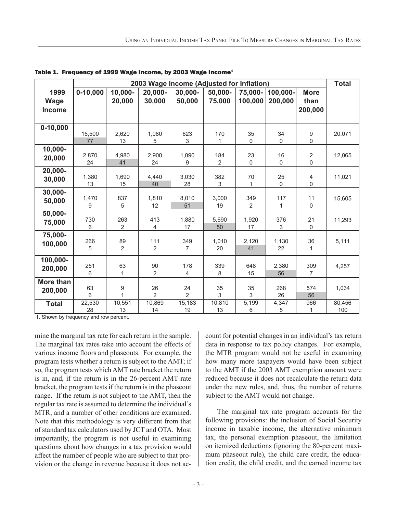|               |              |                | 2003 Wage Income (Adjusted for Inflation) |                |                       |                   |                   |                               | <b>Total</b>  |
|---------------|--------------|----------------|-------------------------------------------|----------------|-----------------------|-------------------|-------------------|-------------------------------|---------------|
| 1999          | $0 - 10,000$ | 10,000-        | 20,000-                                   | 30,000-        | 50,000-               | 75,000-           | 100,000-          | <b>More</b>                   |               |
| <b>Wage</b>   |              | 20,000         | 30,000                                    | 50,000         | 75,000                | 100,000           | 200,000           | than                          |               |
| <b>Income</b> |              |                |                                           |                |                       |                   |                   | 200,000                       |               |
|               |              |                |                                           |                |                       |                   |                   |                               |               |
| $0 - 10,000$  |              |                |                                           |                |                       |                   |                   |                               |               |
|               | 15,500       | 2,620          | 1,080                                     | 623            | 170                   | 35                | 34                | 9                             | 20,071        |
|               | 77           | 13             | 5                                         | $\mathsf 3$    | 1                     | $\mathbf 0$       | $\mathsf 0$       | 0                             |               |
| $10,000 -$    |              |                |                                           |                |                       |                   |                   |                               |               |
| 20,000        | 2,870<br>24  | 4,980<br>41    | 2,900<br>24                               | 1,090<br>9     | 184<br>$\overline{2}$ | 23<br>$\mathbf 0$ | 16<br>$\mathbf 0$ | $\overline{2}$<br>$\mathbf 0$ | 12,065        |
| 20,000-       |              |                |                                           |                |                       |                   |                   |                               |               |
| 30,000        | 1,380        | 1,690          | 4,440                                     | 3,030          | 382                   | 70                | 25                | 4                             | 11,021        |
|               | 13           | 15             | 40                                        | 28             | 3                     | 1                 | $\mathbf 0$       | 0                             |               |
| 30,000-       |              |                |                                           |                |                       |                   |                   |                               |               |
| 50,000        | 1,470        | 837            | 1,810                                     | 8,010          | 3,000                 | 349               | 117               | 11                            | 15,605        |
|               | 9            | 5              | 12                                        | 51             | 19                    | 2                 | 1                 | 0                             |               |
| 50,000-       | 730          | 263            | 413                                       | 1,880          | 5,690                 | 1,920             | 376               | 21                            | 11,293        |
| 75,000        | 6            | $\overline{2}$ | 4                                         | 17             | 50                    | 17                | 3                 | $\pmb{0}$                     |               |
| 75,000-       |              |                |                                           |                |                       |                   |                   |                               |               |
| 100,000       | 266          | 89             | 111                                       | 349            | 1,010                 | 2,120             | 1,130             | 36                            | 5,111         |
|               | 5            | $\overline{2}$ | $\overline{2}$                            | $\overline{7}$ | 20                    | 41                | 22                | $\mathbf{1}$                  |               |
| 100,000-      |              |                |                                           |                |                       |                   |                   |                               |               |
| 200,000       | 251          | 63             | 90                                        | 178            | 339                   | 648               | 2,380             | 309                           | 4,257         |
|               | 6            | 1              | $\overline{2}$                            | 4              | 8                     | 15                | 56                | $\overline{7}$                |               |
| More than     |              |                |                                           |                |                       |                   |                   |                               |               |
| 200,000       | 63           | 9              | 26                                        | 24             | 35                    | 35                | 268               | 574                           | 1,034         |
|               | 6            | 1              | $\overline{2}$                            | $\overline{2}$ | 3                     | 3                 | 26                | 56                            |               |
| <b>Total</b>  | 22,530<br>28 | 10,551<br>13   | 10,869<br>14                              | 15,183<br>19   | 10,810                | 5,199<br>6        | 4,347<br>5        | 966<br>1                      | 80,456<br>100 |
|               |              |                |                                           |                | 13                    |                   |                   |                               |               |

Table 1. Frequency of 1999 Wage Income, by 2003 Wage Income<sup>1</sup>

1. Shown by frequency and row percent.

mine the marginal tax rate for each return in the sample. The marginal tax rates take into account the effects of various income floors and phaseouts. For example, the program tests whether a return is subject to the AMT; if so, the program tests which AMT rate bracket the return is in, and, if the return is in the 26-percent AMT rate bracket, the program tests if the return is in the phaseout range. If the return is not subject to the AMT, then the regular tax rate is assumed to determine the individual's MTR, and a number of other conditions are examined. Note that this methodology is very different from that of standard tax calculators used by JCT and OTA. Most importantly, the program is not useful in examining questions about how changes in a tax provision would affect the number of people who are subject to that provision or the change in revenue because it does not account for potential changes in an individual's tax return data in response to tax policy changes. For example, the MTR program would not be useful in examining how many more taxpayers would have been subject to the AMT if the 2003 AMT exemption amount were reduced because it does not recalculate the return data under the new rules, and, thus, the number of returns subject to the AMT would not change.

The marginal tax rate program accounts for the following provisions: the inclusion of Social Security income in taxable income, the alternative minimum tax, the personal exemption phaseout, the limitation on itemized deductions (ignoring the 80-percent maximum phaseout rule), the child care credit, the education credit, the child credit, and the earned income tax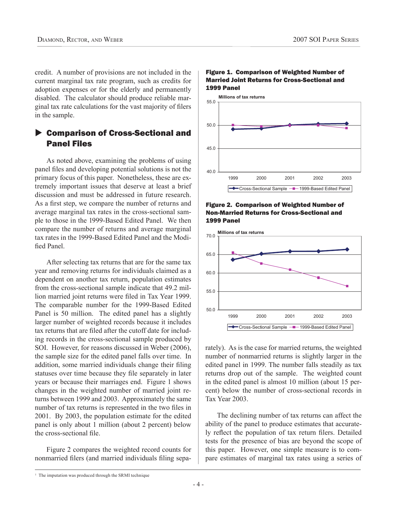credit. A number of provisions are not included in the current marginal tax rate program, such as credits for adoption expenses or for the elderly and permanently disabled. The calculator should produce reliable marginal tax rate calculations for the vast majority of filers in the sample.

### ▶ Comparison of Cross-Sectional and Panel Files

As noted above, examining the problems of using panel files and developing potential solutions is not the primary focus of this paper. Nonetheless, these are extremely important issues that deserve at least a brief discussion and must be addressed in future research. As a first step, we compare the number of returns and average marginal tax rates in the cross-sectional sample to those in the 1999-Based Edited Panel. We then compare the number of returns and average marginal tax rates in the 1999-Based Edited Panel and the Modified Panel.

After selecting tax returns that are for the same tax year and removing returns for individuals claimed as a dependent on another tax return, population estimates from the cross-sectional sample indicate that 49.2 million married joint returns were filed in Tax Year 1999. The comparable number for the 1999-Based Edited Panel is 50 million. The edited panel has a slightly larger number of weighted records because it includes tax returns that are filed after the cutoff date for including records in the cross-sectional sample produced by SOI. However, for reasons discussed in Weber (2006), the sample size for the edited panel falls over time. In addition, some married individuals change their filing statuses over time because they file separately in later years or because their marriages end. Figure 1 shows changes in the weighted number of married joint returns between 1999 and 2003. Approximately the same number of tax returns is represented in the two files in 2001. By 2003, the population estimate for the edited panel is only about 1 million (about 2 percent) below the cross-sectional file.

Figure 2 compares the weighted record counts for nonmarried filers (and married individuals filing sepa-



#### Figure 1. Comparison of Weighted Number of Married Joint Returns for Cross-Sectional and 1999 Panel





rately). As is the case for married returns, the weighted number of nonmarried returns is slightly larger in the edited panel in 1999. The number falls steadily as tax returns drop out of the sample. The weighted count in the edited panel is almost 10 million (about 15 percent) below the number of cross-sectional records in Tax Year 2003.

The declining number of tax returns can affect the ability of the panel to produce estimates that accurately reflect the population of tax return filers. Detailed tests for the presence of bias are beyond the scope of this paper. However, one simple measure is to compare estimates of marginal tax rates using a series of

<sup>&</sup>lt;sup>1</sup> The imputation was produced through the SRMI technique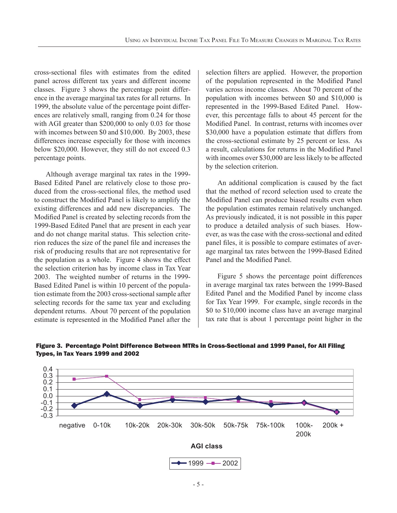cross-sectional files with estimates from the edited panel across different tax years and different income classes. Figure 3 shows the percentage point difference in the average marginal tax rates for all returns. In 1999, the absolute value of the percentage point differences are relatively small, ranging from 0.24 for those with AGI greater than \$200,000 to only 0.03 for those with incomes between \$0 and \$10,000. By 2003, these differences increase especially for those with incomes below \$20,000. However, they still do not exceed 0.3 percentage points.

Although average marginal tax rates in the 1999- Based Edited Panel are relatively close to those produced from the cross-sectional files, the method used to construct the Modified Panel is likely to amplify the existing differences and add new discrepancies. The Modified Panel is created by selecting records from the 1999-Based Edited Panel that are present in each year and do not change marital status. This selection criterion reduces the size of the panel file and increases the risk of producing results that are not representative for the population as a whole. Figure 4 shows the effect the selection criterion has by income class in Tax Year 2003. The weighted number of returns in the 1999- Based Edited Panel is within 10 percent of the population estimate from the 2003 cross-sectional sample after selecting records for the same tax year and excluding dependent returns. About 70 percent of the population estimate is represented in the Modified Panel after the

selection filters are applied. However, the proportion of the population represented in the Modified Panel varies across income classes. About 70 percent of the population with incomes between \$0 and \$10,000 is represented in the 1999-Based Edited Panel. However, this percentage falls to about 45 percent for the Modified Panel. In contrast, returns with incomes over \$30,000 have a population estimate that differs from the cross-sectional estimate by 25 percent or less. As a result, calculations for returns in the Modified Panel with incomes over \$30,000 are less likely to be affected by the selection criterion.

An additional complication is caused by the fact that the method of record selection used to create the Modified Panel can produce biased results even when the population estimates remain relatively unchanged. As previously indicated, it is not possible in this paper to produce a detailed analysis of such biases. However, as was the case with the cross-sectional and edited panel files, it is possible to compare estimates of average marginal tax rates between the 1999-Based Edited Panel and the Modified Panel

Figure 5 shows the percentage point differences in average marginal tax rates between the 1999-Based Edited Panel and the Modified Panel by income class for Tax Year 1999. For example, single records in the \$0 to \$10,000 income class have an average marginal tax rate that is about 1 percentage point higher in the



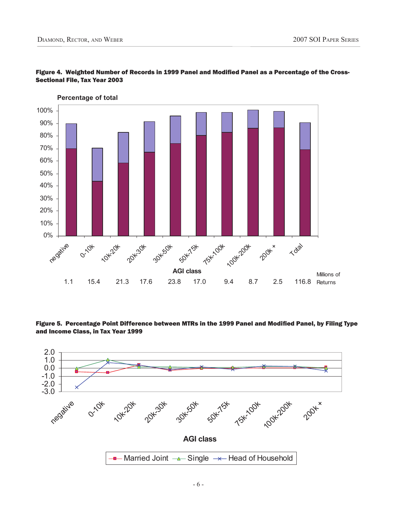

#### Figure 4. Weighted Number of Records in 1999 Panel and Modified Panel as a Percentage of the Cross-Sectional File, Tax Year 2003

Figure 5. Percentage Point Difference between MTRs in the 1999 Panel and Modified Panel, by Filing Type and Income Class, in Tax Year 1999

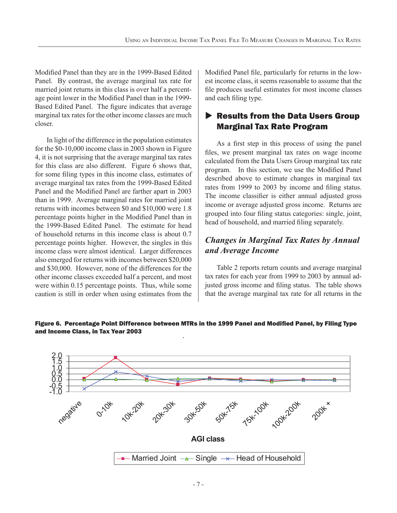Modified Panel than they are in the 1999-Based Edited Panel. By contrast, the average marginal tax rate for married joint returns in this class is over half a percentage point lower in the Modified Panel than in the 1999-Based Edited Panel. The figure indicates that average marginal tax rates for the other income classes are much closer.

In light of the difference in the population estimates for the \$0-10,000 income class in 2003 shown in Figure 4, it is not surprising that the average marginal tax rates for this class are also different. Figure 6 shows that, for some filing types in this income class, estimates of average marginal tax rates from the 1999-Based Edited Panel and the Modified Panel are farther apart in 2003 than in 1999. Average marginal rates for married joint returns with incomes between \$0 and \$10,000 were 1.8 percentage points higher in the Modified Panel than in the 1999-Based Edited Panel. The estimate for head of household returns in this income class is about 0.7 percentage points higher. However, the singles in this income class were almost identical. Larger differences also emerged for returns with incomes between \$20,000 and \$30,000. However, none of the differences for the other income classes exceeded half a percent, and most were within 0.15 percentage points. Thus, while some caution is still in order when using estimates from the Modified Panel file, particularly for returns in the lowest income class, it seems reasonable to assume that the file produces useful estimates for most income classes and each filing type.

# $\blacktriangleright$  Results from the Data Users Group Marginal Tax Rate Program

As a first step in this process of using the panel files, we present marginal tax rates on wage income calculated from the Data Users Group marginal tax rate program. In this section, we use the Modified Panel described above to estimate changes in marginal tax rates from 1999 to 2003 by income and filing status. The income classifier is either annual adjusted gross income or average adjusted gross income. Returns are grouped into four filing status categories: single, joint, head of household, and married filing separately.

# *Changes in Marginal Tax Rates by Annual and Average Income*

Table 2 reports return counts and average marginal tax rates for each year from 1999 to 2003 by annual adjusted gross income and filing status. The table shows that the average marginal tax rate for all returns in the



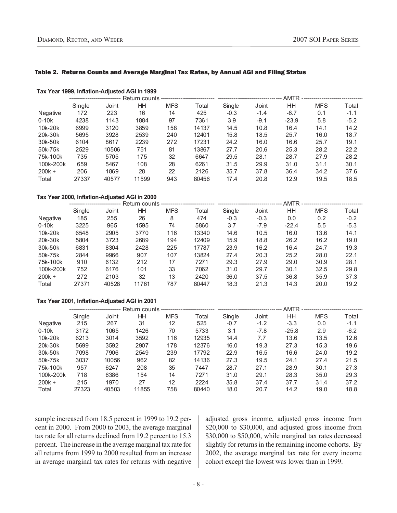#### Table 2. Returns Counts and Average Marginal Tax Rates, by Annual AGI and Filing Status

#### **Tax Year 1999, Inflation-Adjusted AGI in 1999**

|           |        |       |       |            |       | · AMTR ------------------------------ |        |         |            |        |  |
|-----------|--------|-------|-------|------------|-------|---------------------------------------|--------|---------|------------|--------|--|
|           | Single | Joint | HΗ    | <b>MFS</b> | Total | Single                                | Joint  | HН      | <b>MFS</b> | Total  |  |
| Negative  | 172    | 223   | 16    | 14         | 425   | $-0.3$                                | $-1.4$ | $-6.7$  | 0.1        | $-1.1$ |  |
| $0-10k$   | 4238   | 1143  | 1884  | 97         | 7361  | 3.9                                   | $-9.1$ | $-23.9$ | 5.8        | $-5.2$ |  |
| 10k-20k   | 6999   | 3120  | 3859  | 158        | 14137 | 14.5                                  | 10.8   | 16.4    | 14.1       | 14.2   |  |
| 20k-30k   | 5695   | 3928  | 2539  | 240        | 12401 | 15.8                                  | 18.5   | 25.7    | 16.0       | 18.7   |  |
| 30k-50k   | 6104   | 8617  | 2239  | 272        | 17231 | 24.2                                  | 16.0   | 16.6    | 25.7       | 19.1   |  |
| 50k-75k   | 2529   | 10506 | 751   | 81         | 13867 | 27.7                                  | 20.6   | 25.3    | 28.2       | 22.2   |  |
| 75k-100k  | 735    | 5705  | 175   | 32         | 6647  | 29.5                                  | 28.1   | 28.7    | 27.9       | 28.2   |  |
| 100k-200k | 659    | 5467  | 108   | 28         | 6261  | 31.5                                  | 29.9   | 31.0    | 31.1       | 30.1   |  |
| $200k +$  | 206    | 1869  | 28    | 22         | 2126  | 35.7                                  | 37.8   | 36.4    | 34.2       | 37.6   |  |
| Total     | 27337  | 40577 | 11599 | 943        | 80456 | 17.4                                  | 20.8   | 12.9    | 19.5       | 18.5   |  |

#### **Tax Year 2000, Inflation-Adjusted AGI in 2000**

|           | Single | Joint | ΗH    | <b>MFS</b> | Total | Single | Joint  | HН      | <b>MFS</b> | Total  |  |
|-----------|--------|-------|-------|------------|-------|--------|--------|---------|------------|--------|--|
| Negative  | 185    | 255   | 26    | 8          | 474   | $-0.3$ | $-0.3$ | 0.0     | 0.2        | $-0.2$ |  |
| $0-10k$   | 3225   | 965   | 1595  | 74         | 5860  | 3.7    | $-7.9$ | $-22.4$ | 5.5        | $-5.3$ |  |
| 10k-20k   | 6548   | 2905  | 3770  | 116        | 13340 | 14.6   | 10.5   | 16.0    | 13.6       | 14.1   |  |
| 20k-30k   | 5804   | 3723  | 2689  | 194        | 12409 | 15.9   | 18.8   | 26.2    | 16.2       | 19.0   |  |
| 30k-50k   | 6831   | 8304  | 2428  | 225        | 17787 | 23.9   | 16.2   | 16.4    | 24.7       | 19.3   |  |
| 50k-75k   | 2844   | 9966  | 907   | 107        | 13824 | 27.4   | 20.3   | 25.2    | 28.0       | 22.1   |  |
| 75k-100k  | 910    | 6132  | 212   | 17         | 7271  | 29.3   | 27.9   | 29.0    | 30.9       | 28.1   |  |
| 100k-200k | 752    | 6176  | 101   | 33         | 7062  | 31.0   | 29.7   | 30.1    | 32.5       | 29.8   |  |
| $200k +$  | 272    | 2103  | 32    | 13         | 2420  | 36.0   | 37.5   | 36.8    | 35.9       | 37.3   |  |
| Total     | 27371  | 40528 | 11761 | 787        | 80447 | 18.3   | 21.3   | 14.3    | 20.0       | 19.2   |  |

#### **Tax Year 2001, Inflation-Adjusted AGI in 2001**

|           | Single | Joint | ΗH    | <b>MFS</b> | Total | Single | Joint  | HН      | <b>MFS</b> | Total  |  |
|-----------|--------|-------|-------|------------|-------|--------|--------|---------|------------|--------|--|
| Negative  | 215    | 267   | 31    | 12         | 525   | $-0.7$ | $-1.2$ | $-3.3$  | 0.0        | $-1.1$ |  |
| $0-10k$   | 3172   | 1065  | 1426  | 70         | 5733  | 3.1    | $-7.8$ | $-25.8$ | 2.9        | $-6.2$ |  |
| 10k-20k   | 6213   | 3014  | 3592  | 116        | 12935 | 14.4   | 7.7    | 13.6    | 13.5       | 12.6   |  |
| 20k-30k   | 5699   | 3592  | 2907  | 178        | 12376 | 16.0   | 19.3   | 27.3    | 15.3       | 19.6   |  |
| 30k-50k   | 7098   | 7906  | 2549  | 239        | 17792 | 22.9   | 16.5   | 16.6    | 24.0       | 19.2   |  |
| 50k-75k   | 3037   | 10056 | 962   | 82         | 14136 | 27.3   | 19.5   | 24.1    | 27.4       | 21.5   |  |
| 75k-100k  | 957    | 6247  | 208   | 35         | 7447  | 28.7   | 27.1   | 28.9    | 30.1       | 27.3   |  |
| 100k-200k | 718    | 6386  | 154   | 14         | 7271  | 31.0   | 29.1   | 28.3    | 35.0       | 29.3   |  |
| $200k +$  | 215    | 1970  | 27    | 12         | 2224  | 35.8   | 37.4   | 37.7    | 31.4       | 37.2   |  |
| Total     | 27323  | 40503 | 11855 | 758        | 80440 | 18.0   | 20.7   | 14.2    | 19.0       | 18.8   |  |

sample increased from 18.5 percent in 1999 to 19.2 percent in 2000. From 2000 to 2003, the average marginal tax rate for all returns declined from 19.2 percent to 15.3 percent. The increase in the average marginal tax rate for all returns from 1999 to 2000 resulted from an increase in average marginal tax rates for returns with negative

adjusted gross income, adjusted gross income from \$20,000 to \$30,000, and adjusted gross income from \$30,000 to \$50,000, while marginal tax rates decreased slightly for returns in the remaining income cohorts. By 2002, the average marginal tax rate for every income cohort except the lowest was lower than in 1999.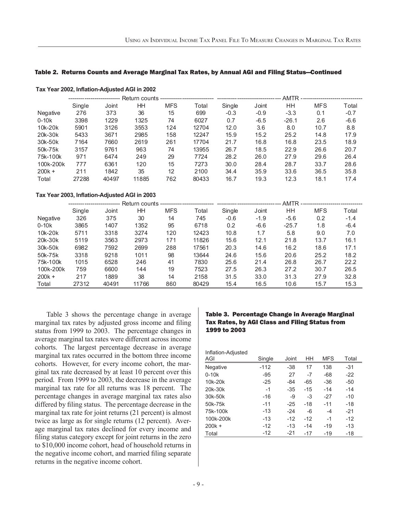#### Table 2. Returns Counts and Average Marginal Tax Rates, by Annual AGI and Filing Status—Continued

|           | Single | Joint | HН    | <b>MFS</b> | Total | Single | Joint  | HН      | <b>MFS</b> | Total  |  |
|-----------|--------|-------|-------|------------|-------|--------|--------|---------|------------|--------|--|
| Negative  | 276    | 373   | 36    | 15         | 699   | $-0.3$ | $-0.9$ | $-3.3$  | 0.1        | $-0.7$ |  |
| $0-10k$   | 3398   | 1229  | 1325  | 74         | 6027  | 0.7    | $-6.5$ | $-26.1$ | 2.6        | $-6.6$ |  |
| 10k-20k   | 5901   | 3126  | 3553  | 124        | 12704 | 12.0   | 3.6    | 8.0     | 10.7       | 8.8    |  |
| 20k-30k   | 5433   | 3671  | 2985  | 158        | 12247 | 15.9   | 15.2   | 25.2    | 14.8       | 17.9   |  |
| 30k-50k   | 7164   | 7660  | 2619  | 261        | 17704 | 21.7   | 16.8   | 16.8    | 23.5       | 18.9   |  |
| 50k-75k   | 3157   | 9761  | 963   | 74         | 13955 | 26.7   | 18.5   | 22.9    | 26.6       | 20.7   |  |
| 75k-100k  | 971    | 6474  | 249   | 29         | 7724  | 28.2   | 26.0   | 27.9    | 29.6       | 26.4   |  |
| 100k-200k | 777    | 6361  | 120   | 15         | 7273  | 30.0   | 28.4   | 28.7    | 33.7       | 28.6   |  |
| $200k +$  | 211    | 1842  | 35    | 12         | 2100  | 34.4   | 35.9   | 33.6    | 36.5       | 35.8   |  |
| Total     | 27288  | 40497 | 11885 | 762        | 80433 | 16.7   | 19.3   | 12.3    | 18.1       | 17.4   |  |

#### **Tax Year 2002, Inflation-Adjusted AGI in 2002**

#### **Tax Year 2003, Inflation-Adjusted AGI in 2003**

|           |        |       |       |            |       | AMTR --------------------- ----------- |        |         |            |        |  |
|-----------|--------|-------|-------|------------|-------|----------------------------------------|--------|---------|------------|--------|--|
|           | Single | Joint | ΗH    | <b>MFS</b> | Total | Single                                 | Joint  | HН      | <b>MFS</b> | Total  |  |
| Negative  | 326    | 375   | 30    | 14         | 745   | $-0.6$                                 | $-1.9$ | $-5.6$  | 0.2        | $-1.4$ |  |
| $0-10k$   | 3865   | 1407  | 1352  | 95         | 6718  | 0.2                                    | $-6.6$ | $-25.7$ | 1.8        | $-6.4$ |  |
| 10k-20k   | 5711   | 3318  | 3274  | 120        | 12423 | 10.8                                   | 1.7    | 5.8     | 9.0        | 7.0    |  |
| 20k-30k   | 5119   | 3563  | 2973  | 171        | 11826 | 15.6                                   | 12.1   | 21.8    | 13.7       | 16.1   |  |
| 30k-50k   | 6982   | 7592  | 2699  | 288        | 17561 | 20.3                                   | 14.6   | 16.2    | 18.6       | 17.1   |  |
| 50k-75k   | 3318   | 9218  | 1011  | 98         | 13644 | 24.6                                   | 15.6   | 20.6    | 25.2       | 18.2   |  |
| 75k-100k  | 1015   | 6528  | 246   | 41         | 7830  | 25.6                                   | 21.4   | 26.8    | 26.7       | 22.2   |  |
| 100k-200k | 759    | 6600  | 144   | 19         | 7523  | 27.5                                   | 26.3   | 27.2    | 30.7       | 26.5   |  |
| $200k +$  | 217    | 1889  | 38    | 14         | 2158  | 31.5                                   | 33.0   | 31.3    | 27.9       | 32.8   |  |
| Total     | 27312  | 40491 | 11766 | 860        | 80429 | 15.4                                   | 16.5   | 10.6    | 15.7       | 15.3   |  |

Table 3 shows the percentage change in average marginal tax rates by adjusted gross income and filing status from 1999 to 2003. The percentage changes in average marginal tax rates were different across income cohorts. The largest percentage decrease in average marginal tax rates occurred in the bottom three income cohorts. However, for every income cohort, the marginal tax rate decreased by at least 10 percent over this period. From 1999 to 2003, the decrease in the average marginal tax rate for all returns was 18 percent. The percentage changes in average marginal tax rates also differed by filing status. The percentage decrease in the marginal tax rate for joint returns (21 percent) is almost twice as large as for single returns (12 percent). Average marginal tax rates declined for every income and filing status category except for joint returns in the zero to \$10,000 income cohort, head of household returns in the negative income cohort, and married filing separate returns in the negative income cohort.

#### Table 3. Percentage Change in Average Marginal Tax Rates, by AGI Class and Filing Status from 1999 to 2003

| Inflation-Adjusted |        |       |       |            |       |
|--------------------|--------|-------|-------|------------|-------|
| AGI                | Single | Joint | HH    | <b>MFS</b> | Total |
| Negative           | $-112$ | $-38$ | 17    | 138        | $-31$ |
| $0-10k$            | $-95$  | 27    | $-7$  | $-68$      | $-22$ |
| 10k-20k            | $-25$  | $-84$ | -65   | $-36$      | $-50$ |
| 20k-30k            | $-1$   | $-35$ | $-15$ | $-14$      | $-14$ |
| 30k-50k            | $-16$  | $-9$  | $-3$  | $-27$      | $-10$ |
| 50k-75k            | $-11$  | $-25$ | $-18$ | $-11$      | $-18$ |
| 75k-100k           | $-13$  | $-24$ | -6    | $-4$       | $-21$ |
| 100k-200k          | $-13$  | $-12$ | $-12$ | $-1$       | $-12$ |
| $200k +$           | $-12$  | $-13$ | $-14$ | $-19$      | $-13$ |
| Total              | $-12$  | $-21$ | $-17$ | -19        | -18   |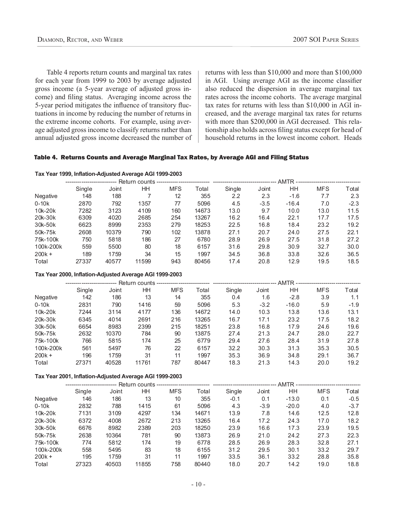Table 4 reports return counts and marginal tax rates for each year from 1999 to 2003 by average adjusted gross income (a 5-year average of adjusted gross income) and filing status. Averaging income across the 5-year period mitigates the influence of transitory fluctuations in income by reducing the number of returns in the extreme income cohorts. For example, using average adjusted gross income to classify returns rather than annual adjusted gross income decreased the number of returns with less than \$10,000 and more than \$100,000 in AGI. Using average AGI as the income classifier also reduced the dispersion in average marginal tax rates across the income cohorts. The average marginal tax rates for returns with less than \$10,000 in AGI increased, and the average marginal tax rates for returns with more than \$200,000 in AGI decreased. This relationship also holds across filing status except for head of household returns in the lowest income cohort. Heads

#### Table 4. Returns Counts and Average Marginal Tax Rates, by Average AGI and Filing Status

#### **Tax Year 1999, Inflation-Adjusted Average AGI 1999-2003**

|                                                         | Single | Joint | HH             | <b>MFS</b> | Total | Single | Joint  | HH.     | MFS        | Total  |
|---------------------------------------------------------|--------|-------|----------------|------------|-------|--------|--------|---------|------------|--------|
| Negative                                                | 148    | 188   | $\overline{7}$ | 12         | 355   | 2.2    | 2.3    | $-1.6$  | 7.7        | 2.3    |
| $0-10k$                                                 | 2870   | 792   | 1357           | 77         | 5096  | 4.5    | $-3.5$ | $-16.4$ | 7.0        | $-2.3$ |
| 10k-20k                                                 | 7282   | 3123  | 4109           | 160        | 14673 | 13.0   | 9.7    | 10.0    | 13.0       | 11.5   |
| 20k-30k                                                 | 6309   | 4020  | 2685           | 254        | 13267 | 16.2   | 16.4   | 22.1    | 17.7       | 17.5   |
| 30k-50k                                                 | 6623   | 8999  | 2353           | 279        | 18253 | 22.5   | 16.8   | 18.4    | 23.2       | 19.2   |
| 50k-75k                                                 | 2608   | 10379 | 790            | 102        | 13878 | 27.1   | 20.7   | 24.0    | 27.5       | 22.1   |
| 75k-100k                                                | 750    | 5818  | 186            | 27         | 6780  | 28.9   | 26.9   | 27.5    | 31.8       | 27.2   |
| 100k-200k                                               | 559    | 5500  | 80             | 18         | 6157  | 31.6   | 29.8   | 30.9    | 32.7       | 30.0   |
| $200k +$                                                | 189    | 1759  | 34             | 15         | 1997  | 34.5   | 36.8   | 33.8    | 32.6       | 36.5   |
| Total                                                   | 27337  | 40577 | 11599          | 943        | 80456 | 17.4   | 20.8   | 12.9    | 19.5       | 18.5   |
| Tax Year 2000, Inflation-Adjusted Average AGI 1999-2003 |        |       |                |            |       |        |        |         |            |        |
|                                                         |        |       |                |            |       |        |        |         |            |        |
|                                                         | Single | Joint | HH             | MFS        | Total | Single | Joint  | HH      | <b>MFS</b> | Total  |
| Negative                                                | 142    | 186   | 13             | 14         | 355   | 0.4    | 1.6    | $-2.8$  | 3.9        | 1.1    |
| $0-10k$                                                 | 2831   | 790   | 1416           | 59         | 5096  | 5.3    | $-3.2$ | $-16.0$ | 5.9        | $-1.9$ |
| 10k-20k                                                 | 7244   | 3114  | 4177           | 136        | 14672 | 14.0   | 10.3   | 13.8    | 13.6       | 13.1   |
| 20k-30k                                                 | 6345   | 4014  | 2691           | 216        | 13265 | 16.7   | 17.1   | 23.2    | 17.5       | 18.2   |
| 30k-50k                                                 | 6654   | 8983  | 2399           | 215        | 18251 | 23.8   | 16.8   | 17.9    | 24.6       | 19.6   |
| 50k-75k                                                 | 2632   | 10370 | 784            | 90         | 13875 | 27.4   | 21.3   | 24.7    | 28.0       | 22.7   |
| 75k-100k                                                | 766    | 5815  | 174            | 25         | 6779  | 29.4   | 27.6   | 28.4    | 31.9       | 27.8   |
| 100k-200k                                               | 561    | 5497  | 76             | 22         | 6157  | 32.2   | 30.3   | 31.3    | 35.3       | 30.5   |
| $200k +$                                                | 196    | 1759  | 31             | 11         | 1997  | 35.3   | 36.9   | 34.8    | 29.1       | 36.7   |
| Total                                                   | 27371  | 40528 | 11761          | 787        | 80447 | 18.3   | 21.3   | 14.3    | 20.0       | 19.2   |
| Tax Year 2001, Inflation-Adjusted Average AGI 1999-2003 |        |       |                |            |       |        |        |         |            |        |

|           | Single | Joint | HΗ    | <b>MFS</b> | Total | Single | Joint  | HН      | <b>MFS</b> | Total  |
|-----------|--------|-------|-------|------------|-------|--------|--------|---------|------------|--------|
| Negative  | 146    | 186   | 13    | 10         | 355   | $-0.1$ | 0.1    | $-13.0$ | 0.1        | $-0.5$ |
| $0-10k$   | 2832   | 788   | 1415  | 61         | 5096  | 4.3    | $-3.9$ | $-20.0$ | 4.0        | $-3.7$ |
| 10k-20k   | 7131   | 3109  | 4297  | 134        | 14671 | 13.9   | 7.8    | 14.6    | 12.5       | 12.8   |
| 20k-30k   | 6372   | 4008  | 2672  | 213        | 13265 | 16.4   | 17.2   | 24.3    | 17.0       | 18.2   |
| 30k-50k   | 6676   | 8982  | 2389  | 203        | 18250 | 23.9   | 16.6   | 17.3    | 23.9       | 19.5   |
| 50k-75k   | 2638   | 10364 | 781   | 90         | 13873 | 26.9   | 21.0   | 24.2    | 27.3       | 22.3   |
| 75k-100k  | 774    | 5812  | 174   | 19         | 6778  | 28.5   | 26.9   | 28.3    | 32.8       | 27.1   |
| 100k-200k | 558    | 5495  | 83    | 18         | 6155  | 31.2   | 29.5   | 30.1    | 33.2       | 29.7   |
| $200k +$  | 195    | 1759  | 31    | 11         | 1997  | 33.5   | 36.1   | 33.2    | 28.8       | 35.8   |
| Total     | 27323  | 40503 | 11855 | 758        | 80440 | 18.0   | 20.7   | 14.2    | 19.0       | 18.8   |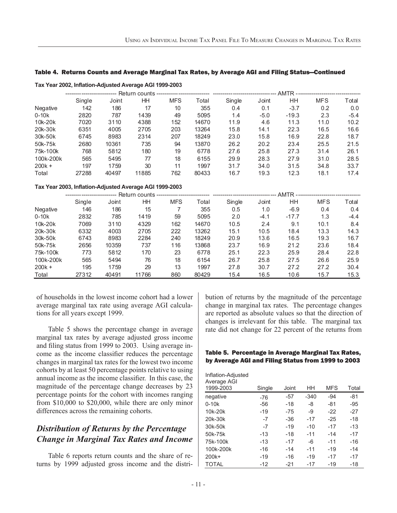#### Table 4. Returns Counts and Average Marginal Tax Rates, by Average AGI and Filing Status—Continued

|                                                         | Single | Joint | <b>HH</b> | <b>MFS</b>     | Total | Single | Joint  | HH      | <b>MFS</b> | Total  |
|---------------------------------------------------------|--------|-------|-----------|----------------|-------|--------|--------|---------|------------|--------|
| Negative                                                | 142    | 186   | 17        | 10             | 355   | 0.4    | 0.1    | $-3.7$  | 0.2        | 0.0    |
| $0-10k$                                                 | 2820   | 787   | 1439      | 49             | 5095  | 1.4    | $-5.0$ | $-19.3$ | 2.3        | $-5.4$ |
| 10k-20k                                                 | 7020   | 3110  | 4388      | 152            | 14670 | 11.9   | 4.6    | 11.3    | 11.0       | 10.2   |
| 20k-30k                                                 | 6351   | 4005  | 2705      | 203            | 13264 | 15.8   | 14.1   | 22.3    | 16.5       | 16.6   |
| 30k-50k                                                 | 6745   | 8983  | 2314      | 207            | 18249 | 23.0   | 15.8   | 16.9    | 22.8       | 18.7   |
| 50k-75k                                                 | 2680   | 10361 | 735       | 94             | 13870 | 26.2   | 20.2   | 23.4    | 25.5       | 21.5   |
| 75k-100k                                                | 768    | 5812  | 180       | 19             | 6778  | 27.6   | 25.8   | 27.3    | 31.4       | 26.1   |
| 100k-200k                                               | 565    | 5495  | 77        | 18             | 6155  | 29.9   | 28.3   | 27.9    | 31.0       | 28.5   |
| $200k +$                                                | 197    | 1759  | 30        | 11             | 1997  | 31.7   | 34.0   | 31.5    | 34.8       | 33.7   |
| Total                                                   | 27288  | 40497 | 11885     | 762            | 80433 | 16.7   | 19.3   | 12.3    | 18.1       | 17.4   |
| Tax Year 2003, Inflation-Adjusted Average AGI 1999-2003 |        |       |           |                |       |        |        |         |            |        |
|                                                         |        |       |           |                |       |        |        |         |            |        |
|                                                         | Single | Joint | <b>HH</b> | <b>MFS</b>     | Total | Single | Joint  | HH.     | <b>MFS</b> | Total  |
| Negative                                                | 146    | 186   | 15        | $\overline{7}$ | 355   | 0.5    | 1.0    | $-6.9$  | 0.4        | 0.4    |
| $0-10k$                                                 | 2832   | 785   | 1419      | 59             | 5095  | 2.0    | $-4.1$ | $-17.7$ | 1.3        | $-4.4$ |
| 10k-20k                                                 | 7069   | 3110  | 4329      | 162            | 14670 | 10.5   | 2.4    | 9.1     | 10.1       | 8.4    |
| 20k-30k                                                 | 6332   | 4003  | 2705      | 222            | 13262 | 15.1   | 10.5   | 18.4    | 13.3       | 14.3   |
| 30k-50k                                                 | 6743   | 8983  | 2284      | 240            | 18249 | 20.9   | 13.6   | 16.5    | 19.3       | 16.7   |

50k-75k 2656 10359 737 116 13868 23.7 16.9 21.2 23.6 18.4 75k-100k 773 5812 170 23 6778 25.1 22.3 25.9 28.4 22.8 100k-200k 565 5494 76 18 6154 26.7 25.8 27.5 26.6 25.9 200k + 195 1759 29 13 1997 27.8 30.7 27.2 27.2 30.4 Total 27312 40491 11766 860 80429 15.4 16.5 10.6 15.7 15.3

**Tax Year 2002, Inflation-Adjusted Average AGI 1999-2003**

#### of households in the lowest income cohort had a lower average marginal tax rate using average AGI calculations for all years except 1999.

Table 5 shows the percentage change in average marginal tax rates by average adjusted gross income and filing status from 1999 to 2003. Using average income as the income classifier reduces the percentage changes in marginal tax rates for the lowest two income cohorts by at least 50 percentage points relative to using annual income as the income classifier. In this case, the magnitude of the percentage change decreases by 23 percentage points for the cohort with incomes ranging from \$10,000 to \$20,000, while there are only minor differences across the remaining cohorts.

# *Distribution of Returns by the Percentage Change in Marginal Tax Rates and Income*

Table 6 reports return counts and the share of returns by 1999 adjusted gross income and the distribution of returns by the magnitude of the percentage change in marginal tax rates. The percentage changes are reported as absolute values so that the direction of changes is irrelevant for this table. The marginal tax rate did not change for 22 percent of the returns from

#### Table 5. Percentage in Average Marginal Tax Rates, by Average AGI and Filing Status from 1999 to 2003

| 1999-2003<br>HH<br><b>MFS</b><br>Joint<br>Single<br>$-94$<br>negative<br>$-57$<br>$-340$<br>$-76$<br>$0-10k$<br>$-18$<br>-8<br>$-81$<br>$-56$ |                        |
|-----------------------------------------------------------------------------------------------------------------------------------------------|------------------------|
|                                                                                                                                               | Total                  |
|                                                                                                                                               | -81                    |
|                                                                                                                                               | $-95$                  |
| 10k-20k<br>$-19$<br>$-75$                                                                                                                     | $-27$<br>$-9$<br>$-22$ |
| 20k-30k<br>$-17$<br>$-25$<br>$-36$<br>-7                                                                                                      | $-18$                  |
| $-19$<br>$-10$<br>$-17$<br>30k-50k<br>$-7$                                                                                                    | $-13$                  |
| $-11$<br>$-14$<br>50k-75k<br>$-18$<br>$-13$                                                                                                   | $-17$                  |
| 75k-100k<br>$-17$<br>$-6$<br>$-11$<br>$-13$                                                                                                   | $-16$                  |
| 100k-200k<br>$-11$<br>$-19$<br>$-16$<br>$-14$                                                                                                 | $-14$                  |
| $-19$<br>$-16$<br>$-19$<br>$200k+$<br>$-17$                                                                                                   | $-17$                  |
| <b>TOTAL</b><br>$-12$<br>$-21$<br>$-17$<br>$-19$                                                                                              | $-18$                  |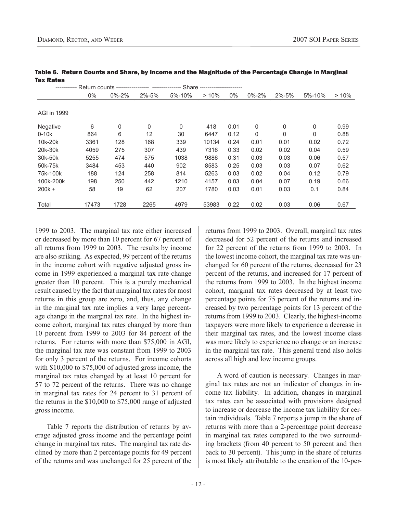|             |       |             | Return counts ----------------- --------- |        | Share ----------------------- |       |             |             |          |      |
|-------------|-------|-------------|-------------------------------------------|--------|-------------------------------|-------|-------------|-------------|----------|------|
|             | $0\%$ | $0\% - 2\%$ | $2\% - 5\%$                               | 5%-10% | >10%                          | $0\%$ | $0\% - 2\%$ | $2\% - 5\%$ | 5%-10%   | >10% |
|             |       |             |                                           |        |                               |       |             |             |          |      |
| AGI in 1999 |       |             |                                           |        |                               |       |             |             |          |      |
| Negative    | 6     | 0           | 0                                         | 0      | 418                           | 0.01  | 0           | 0           | 0        | 0.99 |
| $0-10k$     | 864   | 6           | 12                                        | 30     | 6447                          | 0.12  | 0           | 0           | $\Omega$ | 0.88 |
| 10k-20k     | 3361  | 128         | 168                                       | 339    | 10134                         | 0.24  | 0.01        | 0.01        | 0.02     | 0.72 |
| 20k-30k     | 4059  | 275         | 307                                       | 439    | 7316                          | 0.33  | 0.02        | 0.02        | 0.04     | 0.59 |
| 30k-50k     | 5255  | 474         | 575                                       | 1038   | 9886                          | 0.31  | 0.03        | 0.03        | 0.06     | 0.57 |
| 50k-75k     | 3484  | 453         | 440                                       | 902    | 8583                          | 0.25  | 0.03        | 0.03        | 0.07     | 0.62 |
| 75k-100k    | 188   | 124         | 258                                       | 814    | 5263                          | 0.03  | 0.02        | 0.04        | 0.12     | 0.79 |
| 100k-200k   | 198   | 250         | 442                                       | 1210   | 4157                          | 0.03  | 0.04        | 0.07        | 0.19     | 0.66 |
| $200k +$    | 58    | 19          | 62                                        | 207    | 1780                          | 0.03  | 0.01        | 0.03        | 0.1      | 0.84 |
| Total       | 17473 | 1728        | 2265                                      | 4979   | 53983                         | 0.22  | 0.02        | 0.03        | 0.06     | 0.67 |

Table 6. Return Counts and Share, by Income and the Magnitude of the Percentage Change in Marginal Tax Rates

1999 to 2003. The marginal tax rate either increased or decreased by more than 10 percent for 67 percent of all returns from 1999 to 2003. The results by income are also striking. As expected, 99 percent of the returns in the income cohort with negative adjusted gross income in 1999 experienced a marginal tax rate change greater than 10 percent. This is a purely mechanical result caused by the fact that marginal tax rates for most returns in this group are zero, and, thus, any change in the marginal tax rate implies a very large percentage change in the marginal tax rate. In the highest income cohort, marginal tax rates changed by more than 10 percent from 1999 to 2003 for 84 percent of the returns. For returns with more than \$75,000 in AGI, the marginal tax rate was constant from 1999 to 2003 for only 3 percent of the returns. For income cohorts with \$10,000 to \$75,000 of adjusted gross income, the marginal tax rates changed by at least 10 percent for 57 to 72 percent of the returns. There was no change in marginal tax rates for 24 percent to 31 percent of the returns in the \$10,000 to \$75,000 range of adjusted gross income.

Table 7 reports the distribution of returns by average adjusted gross income and the percentage point change in marginal tax rates. The marginal tax rate declined by more than 2 percentage points for 49 percent of the returns and was unchanged for 25 percent of the

returns from 1999 to 2003. Overall, marginal tax rates decreased for 52 percent of the returns and increased for 22 percent of the returns from 1999 to 2003. In the lowest income cohort, the marginal tax rate was unchanged for 60 percent of the returns, decreased for 23 percent of the returns, and increased for 17 percent of the returns from 1999 to 2003. In the highest income cohort, marginal tax rates decreased by at least two percentage points for 75 percent of the returns and increased by two percentage points for 13 percent of the returns from 1999 to 2003. Clearly, the highest-income taxpayers were more likely to experience a decrease in their marginal tax rates, and the lowest income class was more likely to experience no change or an increase in the marginal tax rate. This general trend also holds across all high and low income groups.

A word of caution is necessary. Changes in marginal tax rates are not an indicator of changes in income tax liability. In addition, changes in marginal tax rates can be associated with provisions designed to increase or decrease the income tax liability for certain individuals. Table 7 reports a jump in the share of returns with more than a 2-percentage point decrease in marginal tax rates compared to the two surrounding brackets (from 40 percent to 50 percent and then back to 30 percent). This jump in the share of returns is most likely attributable to the creation of the 10-per-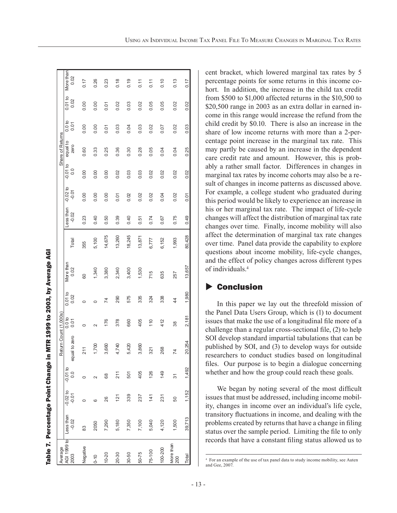|                     | Table 7. Percentage Point Change i |                       |                             |                       |                           |                 | in MTR 1999 to 2003, by Average AGI |        |                      |                       |                             |                  |                          |                 |                   |
|---------------------|------------------------------------|-----------------------|-----------------------------|-----------------------|---------------------------|-----------------|-------------------------------------|--------|----------------------|-----------------------|-----------------------------|------------------|--------------------------|-----------------|-------------------|
| Average             |                                    |                       |                             | Return Count (1,000s) |                           |                 |                                     |        |                      |                       |                             | Share of Returns |                          |                 |                   |
| AGI 1999 to<br>2003 | Less than<br>$-0.02$               | $-0.02$ to<br>$-0.01$ | $-0.01$ to<br>$\frac{0}{2}$ | equal to zero         | 0.0 <sub>to</sub><br>0.01 | 0.01 to<br>0.02 | More than<br>0.02                   | Total  | Less than<br>$-0.02$ | $-0.02$ to<br>$-0.01$ | $-0.01$ to<br>$\frac{0}{1}$ | equal to<br>zero | 0.0 <sub>b</sub><br>0.01 | 0.01 to<br>0.02 | More than<br>0.02 |
| Negative            | 83                                 | 0                     | 0                           | 211                   | 0                         | 0               | 80                                  | 355    | 0.23                 | 0.00                  | 0.00                        | 0.60             | 0.00                     | 0.00            | 0.17              |
| $0 - 10$            | 2050                               | ဖ                     |                             | 1,700                 | $\sim$                    | $\circ$         | 1,340                               | 5,100  | 0.40                 | 0.00                  | 0.00                        | 0.33             | 0.00                     | 0.00            | 0.26              |
| 10-20               | 7,290                              | 26                    | 68                          | 3,660                 | 176                       | 74              | 3,380                               | 14,675 | 0.50                 | 0.00                  | 0.00                        | 0.25             | 0.01                     | 0.01            | 0.23              |
| 20-30               | 5,180                              | 121                   | 211                         | 4,740                 | 378                       | 290             | 2,340                               | 13,260 | 0.39                 | 0.01                  | 0.02                        | 0.36             | 0.03                     | 0.02            | 0.18              |
| 30-50               | 7,350                              | 339                   | 501                         | 5,420                 | 660                       | 575             | 3,400                               | 18,245 | 0.40                 | 0.02                  | 0.03                        | 0.30             | 0.04                     | 0.03            | 0.19              |
| 50-75               | 7,100                              | 237                   | 405                         | 3,860                 | 405                       | 335             | 1,530                               | 13,871 | 0.51                 | 0.02                  | 0.03                        | 0.28             | 0.03                     | 0.02            | $\frac{11}{2}$    |
| 75-100              | 5,040                              | 141                   | 126                         | 321                   | 110                       | 324             | 715                                 | 6,777  | 0.74                 | 0.02                  | 0.02                        | 0.05             | 0.02                     | 0.05            | 0.11              |
| 100-200             | 4,120                              | 231                   | 149                         | 268                   | 412                       | 338             | 635                                 | 6,152  | 0.67                 | 0.04                  | 0.02                        | 0.04             | 0.07                     | 0.05            | 0.10              |
| More than<br>200    | 1,500                              | 50                    | 31                          | 74                    | 38                        | $\frac{4}{4}$   | 257                                 | 1,993  | 0.75                 | 0.02                  | 0.02                        | 0.04             | 0.02                     | 0.02            | 0.13              |
| Total               | 39,713                             | 1,152                 | 1,492                       | 20,254                | 2,181                     | 1,980           | 13,657                              | 80,428 | 0.49                 | 0.01                  | 0.02                        | 0.25             | 0.03                     | 0.02            | 0.17              |

cent bracket, which lowered marginal tax rates by 5 percentage points for some returns in this income cohort. In addition, the increase in the child tax credit from \$500 to \$1,000 affected returns in the \$10,500 to \$20,500 range in 2003 as an extra dollar in earned income in this range would increase the refund from the child credit by \$0.10. There is also an increase in the share of low income returns with more than a 2-percentage point increase in the marginal tax rate. This may partly be caused by an increase in the dependent care credit rate and amount. However, this is probably a rather small factor. Differences in changes in marginal tax rates by income cohorts may also be a result of changes in income patterns as discussed above. For example, a college student who graduated during this period would be likely to experience an increase in his or her marginal tax rate. The impact of life-cycle changes will affect the distribution of marginal tax rate changes over time. Finally, income mobility will also affect the determination of marginal tax rate changes over time. Panel data provide the capability to explore questions about income mobility, life-cycle changes, and the effect of policy changes across different types of individuals.4

### $\blacktriangleright$  Conclusion

In this paper we lay out the threefold mission of the Panel Data Users Group, which is (1) to document issues that make the use of a longitudinal file more of a challenge than a regular cross-sectional file,  $(2)$  to help SOI develop standard impartial tabulations that can be published by SOI, and (3) to develop ways for outside researchers to conduct studies based on longitudinal files. Our purpose is to begin a dialogue concerning whether and how the group could reach these goals.

We began by noting several of the most difficult issues that must be addressed, including income mobility, changes in income over an individual's life cycle, transitory fluctuations in income, and dealing with the problems created by returns that have a change in filing status over the sample period. Limiting the file to only records that have a constant filing status allowed us to

<sup>4</sup> For an example of the use of tax panel data to study income mobility, see Auten and Gee, 2007.